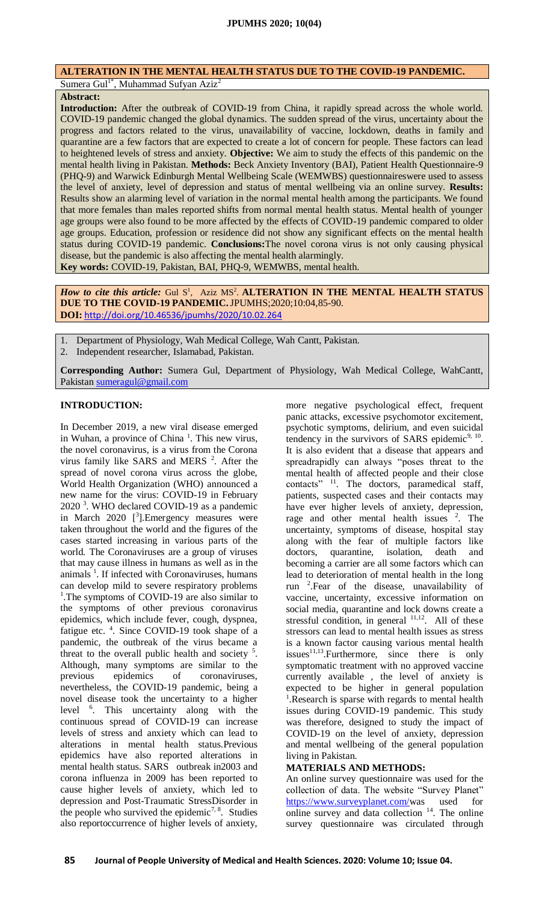## **ALTERATION IN THE MENTAL HEALTH STATUS DUE TO THE COVID-19 PANDEMIC.**

Sumera Gul<sup>1\*</sup>, Muhammad Sufyan Aziz<sup>2</sup>

# **Abstract:**

**Introduction:** After the outbreak of COVID-19 from China, it rapidly spread across the whole world. COVID-19 pandemic changed the global dynamics. The sudden spread of the virus, uncertainty about the progress and factors related to the virus, unavailability of vaccine, lockdown, deaths in family and quarantine are a few factors that are expected to create a lot of concern for people. These factors can lead to heightened levels of stress and anxiety. **Objective:** We aim to study the effects of this pandemic on the mental health living in Pakistan. **Methods:** Beck Anxiety Inventory (BAI), Patient Health Questionnaire-9 (PHQ-9) and Warwick Edinburgh Mental Wellbeing Scale (WEMWBS) questionnaireswere used to assess the level of anxiety, level of depression and status of mental wellbeing via an online survey. **Results:** Results show an alarming level of variation in the normal mental health among the participants. We found that more females than males reported shifts from normal mental health status. Mental health of younger age groups were also found to be more affected by the effects of COVID-19 pandemic compared to older age groups. Education, profession or residence did not show any significant effects on the mental health status during COVID-19 pandemic. **Conclusions:**The novel corona virus is not only causing physical disease, but the pandemic is also affecting the mental health alarmingly. **Key words:** COVID-19, Pakistan, BAI, PHQ-9, WEMWBS, mental health.

How to cite this article: Gul S<sup>1</sup>, Aziz MS<sup>2</sup>. **ALTERATION IN THE MENTAL HEALTH STATUS DUE TO THE COVID-19 PANDEMIC.**JPUMHS;2020;10:04,85-90. **DOI:** <http://doi.org/10.46536/jpumhs/2020/10.02.264>

1. Department of Physiology, Wah Medical College, Wah Cantt, Pakistan. 2. Independent researcher, Islamabad, Pakistan.

**Corresponding Author:** Sumera Gul, Department of Physiology, Wah Medical College, WahCantt, Pakistan [sumeragul@gmail.com](mailto:sumeragul@gmail.com)

## **INTRODUCTION:**

In December 2019, a new viral disease emerged in Wuhan, a province of China<sup>1</sup>. This new virus, the novel coronavirus, is a virus from the Corona virus family like SARS and MERS<sup>2</sup>. After the spread of novel corona virus across the globe, World Health Organization (WHO) announced a new name for the virus: COVID-19 in February 2020<sup>3</sup>. WHO declared COVID-19 as a pandemic in March  $2020$  [<sup>3</sup>]. Emergency measures were taken throughout the world and the figures of the cases started increasing in various parts of the world. The Coronaviruses are a group of viruses that may cause illness in humans as well as in the animals<sup>1</sup>. If infected with Coronaviruses, humans can develop mild to severe respiratory problems <sup>1</sup>. The symptoms of COVID-19 are also similar to the symptoms of other previous coronavirus epidemics, which include fever, cough, dyspnea, fatigue etc. <sup>4</sup>. Since COVID-19 took shape of a pandemic, the outbreak of the virus became a threat to the overall public health and society  $5$ . Although, many symptoms are similar to the previous epidemics of coronaviruses, nevertheless, the COVID-19 pandemic, being a novel disease took the uncertainty to a higher level <sup>6</sup> . This uncertainty along with the continuous spread of COVID-19 can increase levels of stress and anxiety which can lead to alterations in mental health status.Previous epidemics have also reported alterations in mental health status. SARS outbreak in2003 and corona influenza in 2009 has been reported to cause higher levels of anxiety, which led to depression and Post-Traumatic StressDisorder in the people who survived the epidemic<sup>7, 8</sup>. Studies also reportoccurrence of higher levels of anxiety,

more negative psychological effect, frequent panic attacks, excessive psychomotor excitement, psychotic symptoms, delirium, and even suicidal tendency in the survivors of SARS epidemic<sup>9, 10</sup>. It is also evident that a disease that appears and spreadrapidly can always "poses threat to the mental health of affected people and their close contacts" <sup>11</sup>. The doctors, paramedical staff, patients, suspected cases and their contacts may have ever higher levels of anxiety, depression, rage and other mental health issues  $2$ . The uncertainty, symptoms of disease, hospital stay along with the fear of multiple factors like doctors, quarantine, isolation, death and becoming a carrier are all some factors which can lead to deterioration of mental health in the long run <sup>2</sup> .Fear of the disease, unavailability of vaccine, uncertainty, excessive information on social media, quarantine and lock downs create a stressful condition, in general  $11,12$ . All of these stressors can lead to mental health issues as stress is a known factor causing various mental health issues<sup>11,13</sup>. Furthermore, since there is only symptomatic treatment with no approved vaccine currently available , the level of anxiety is expected to be higher in general population <sup>1</sup>. Research is sparse with regards to mental health issues during COVID-19 pandemic. This study was therefore, designed to study the impact of COVID-19 on the level of anxiety, depression and mental wellbeing of the general population living in Pakistan.

### **MATERIALS AND METHODS:**

An online survey questionnaire was used for the collection of data. The website "Survey Planet" [https://www.surveyplanet.com/w](https://www.surveyplanet.com/)as used for online survey and data collection  $14$ . The online survey questionnaire was circulated through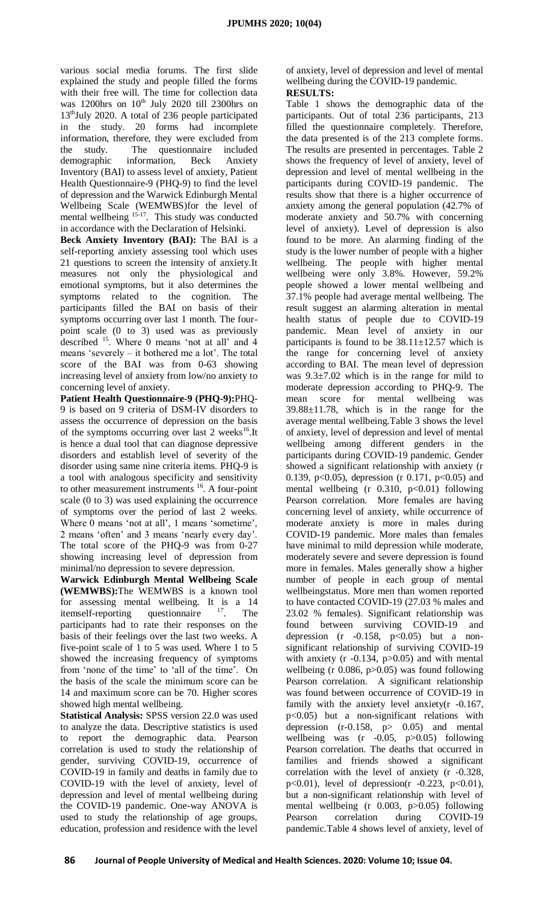various social media forums. The first slide explained the study and people filled the forms with their free will. The time for collection data was 1200hrs on  $10^{th}$  July 2020 till 2300hrs on 13<sup>th</sup>July 2020. A total of 236 people participated in the study. 20 forms had incomplete information, therefore, they were excluded from the study. The questionnaire included demographic information, Beck Anxiety Inventory (BAI) to assess level of anxiety, Patient Health Questionnaire-9 (PHQ-9) to find the level of depression and the Warwick Edinburgh Mental Wellbeing Scale (WEMWBS)for the level of mental wellbeing <sup>15-17</sup>. This study was conducted in accordance with the Declaration of Helsinki.

**Beck Anxiety Inventory (BAI):** The BAI is a self-reporting anxiety assessing tool which uses 21 questions to screen the intensity of anxiety.It measures not only the physiological and emotional symptoms, but it also determines the symptoms related to the cognition. The participants filled the BAI on basis of their symptoms occurring over last 1 month. The fourpoint scale (0 to 3) used was as previously described  $^{15}$ . Where 0 means 'not at all' and 4 means 'severely – it bothered me a lot'. The total score of the BAI was from 0-63 showing increasing level of anxiety from low/no anxiety to concerning level of anxiety.

**Patient Health Questionnaire-9 (PHQ-9):**PHQ-9 is based on 9 criteria of DSM-IV disorders to assess the occurrence of depression on the basis of the symptoms occurring over last 2 weeks<sup>16</sup>.It is hence a dual tool that can diagnose depressive disorders and establish level of severity of the disorder using same nine criteria items. PHQ-9 is a tool with analogous specificity and sensitivity to other measurement instruments <sup>16</sup>. A four-point scale (0 to 3) was used explaining the occurrence of symptoms over the period of last 2 weeks. Where 0 means 'not at all', 1 means 'sometime', 2 means 'often' and 3 means 'nearly every day'. The total score of the PHQ-9 was from 0-27 showing increasing level of depression from minimal/no depression to severe depression.

**Warwick Edinburgh Mental Wellbeing Scale (WEMWBS):**The WEMWBS is a known tool for assessing mental wellbeing. It is a 14 itemself-reporting questionnaire  $17$ . The participants had to rate their responses on the basis of their feelings over the last two weeks. A five-point scale of 1 to 5 was used. Where 1 to 5 showed the increasing frequency of symptoms from 'none of the time' to 'all of the time'. On the basis of the scale the minimum score can be 14 and maximum score can be 70. Higher scores showed high mental wellbeing.

**Statistical Analysis:** SPSS version 22.0 was used to analyze the data. Descriptive statistics is used to report the demographic data. Pearson correlation is used to study the relationship of gender, surviving COVID-19, occurrence of COVID-19 in family and deaths in family due to COVID-19 with the level of anxiety, level of depression and level of mental wellbeing during the COVID-19 pandemic. One-way ANOVA is used to study the relationship of age groups, education, profession and residence with the level

of anxiety, level of depression and level of mental wellbeing during the COVID-19 pandemic. **RESULTS:**

Table 1 shows the demographic data of the participants. Out of total 236 participants, 213 filled the questionnaire completely. Therefore, the data presented is of the 213 complete forms. The results are presented in percentages. Table 2 shows the frequency of level of anxiety, level of depression and level of mental wellbeing in the participants during COVID-19 pandemic. The results show that there is a higher occurrence of anxiety among the general population (42.7% of moderate anxiety and 50.7% with concerning level of anxiety). Level of depression is also found to be more. An alarming finding of the study is the lower number of people with a higher wellbeing. The people with higher mental wellbeing were only 3.8%. However, 59.2% people showed a lower mental wellbeing and 37.1% people had average mental wellbeing. The result suggest an alarming alteration in mental health status of people due to COVID-19 pandemic. Mean level of anxiety in our participants is found to be  $38.11 \pm 12.57$  which is the range for concerning level of anxiety according to BAI. The mean level of depression was 9.3±7.02 which is in the range for mild to moderate depression according to PHQ-9. The mean score for mental wellbeing was 39.88±11.78, which is in the range for the average mental wellbeing.Table 3 shows the level of anxiety, level of depression and level of mental wellbeing among different genders in the participants during COVID-19 pandemic. Gender showed a significant relationship with anxiety (r 0.139, p<0.05), depression (r 0.171, p<0.05) and mental wellbeing (r  $0.310$ ,  $p<0.01$ ) following Pearson correlation. More females are having concerning level of anxiety, while occurrence of moderate anxiety is more in males during COVID-19 pandemic. More males than females have minimal to mild depression while moderate, moderately severe and severe depression is found more in females. Males generally show a higher number of people in each group of mental wellbeingstatus. More men than women reported to have contacted COVID-19 (27.03 % males and 23.02 % females). Significant relationship was found between surviving COVID-19 and depression (r  $-0.158$ ,  $p<0.05$ ) but a nonsignificant relationship of surviving COVID-19 with anxiety  $(r -0.134, p>0.05)$  and with mental wellbeing (r 0.086, p>0.05) was found following Pearson correlation. A significant relationship was found between occurrence of COVID-19 in family with the anxiety level anxiety(r -0.167, p<0.05) but a non-significant relations with depression  $(r-0.158, p> 0.05)$  and mental wellbeing was  $(r -0.05, p>0.05)$  following Pearson correlation. The deaths that occurred in families and friends showed a significant correlation with the level of anxiety (r -0.328, p<0.01), level of depression(r  $-0.223$ , p<0.01), but a non-significant relationship with level of mental wellbeing (r 0.003, p>0.05) following Pearson correlation during COVID-19 pandemic.Table 4 shows level of anxiety, level of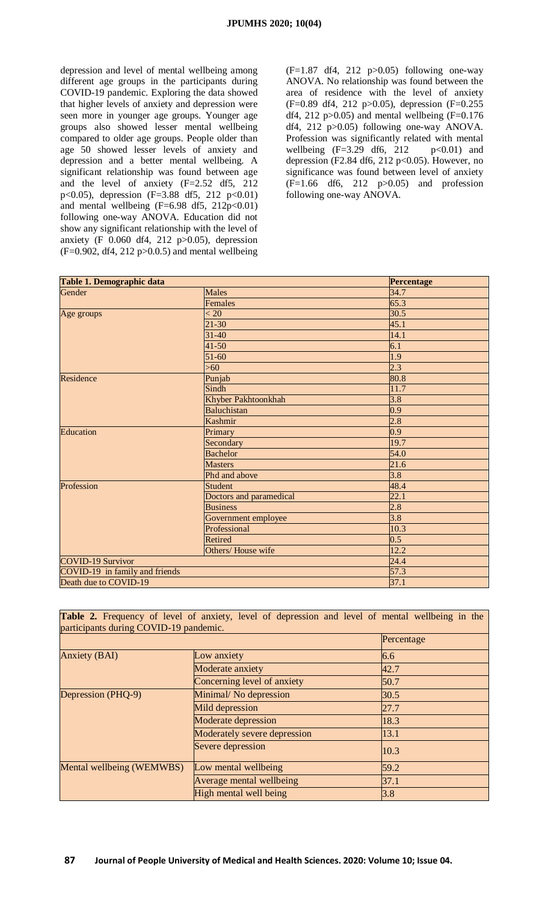depression and level of mental wellbeing among different age groups in the participants during COVID-19 pandemic. Exploring the data showed that higher levels of anxiety and depression were seen more in younger age groups. Younger age groups also showed lesser mental wellbeing compared to older age groups. People older than age 50 showed lesser levels of anxiety and depression and a better mental wellbeing. A significant relationship was found between age and the level of anxiety (F=2.52 df5, 212 p<0.05), depression (F=3.88 df5, 212 p<0.01) and mental wellbeing  $(F=6.98 \text{ df}5, 212p<0.01)$ following one-way ANOVA. Education did not show any significant relationship with the level of anxiety (F 0.060 df4, 212 p>0.05), depression  $(F=0.902, df4, 212 p>0.0.5)$  and mental wellbeing

 $(F=1.87 \text{ df}4, 212 \text{ p} > 0.05)$  following one-way ANOVA. No relationship was found between the area of residence with the level of anxiety (F=0.89 df4, 212 p>0.05), depression (F=0.255 df4, 212 p>0.05) and mental wellbeing  $(F=0.176)$ df4, 212 p>0.05) following one-way ANOVA. Profession was significantly related with mental wellbeing  $(F=3.29 \text{ df}6, 212 \text{ p} < 0.01)$  and depression (F2.84 df6, 212 p<0.05). However, no significance was found between level of anxiety  $(F=1.66$  df6, 212 p $>0.05$ ) and profession following one-way ANOVA.

| Table 1. Demographic data      |                         | Percentage        |
|--------------------------------|-------------------------|-------------------|
| Gender                         | <b>Males</b>            | 34.7              |
|                                | <b>Females</b>          | 65.3              |
| Age groups                     | < 20                    | 30.5              |
|                                | $21 - 30$               | 45.1              |
|                                | $31 - 40$               | 14.1              |
|                                | $41 - 50$               | 6.1               |
|                                | $51 - 60$               | 1.9               |
|                                | $>60$                   | 2.3               |
| Residence                      | Punjab                  | 80.8              |
|                                | Sindh                   | 11.7              |
|                                | Khyber Pakhtoonkhah     | 3.8               |
|                                | <b>Baluchistan</b>      | 0.9               |
|                                | <b>Kashmir</b>          | 2.8               |
| Education                      | Primary                 | 0.9               |
|                                | Secondary               | 19.7              |
|                                | <b>Bachelor</b>         | 54.0              |
|                                | <b>Masters</b>          | 21.6              |
|                                | Phd and above           | $\overline{3.8}$  |
| Profession                     | <b>Student</b>          | 48.4              |
|                                | Doctors and paramedical | $\overline{22.1}$ |
|                                | <b>Business</b>         | 2.8               |
|                                | Government employee     | $\overline{3.8}$  |
|                                | Professional            | 10.3              |
|                                | Retired                 | 0.5               |
|                                | Others/House wife       | 12.2              |
| <b>COVID-19 Survivor</b>       |                         | 24.4              |
| COVID-19 in family and friends |                         | 57.3              |
| Death due to COVID-19          |                         | 37.1              |

| participants during COVID-19 pandemic. | <b>Table 2.</b> Frequency of level of anxiety, level of depression and level of mental wellbeing in the |            |
|----------------------------------------|---------------------------------------------------------------------------------------------------------|------------|
|                                        |                                                                                                         | Percentage |
| <b>Anxiety (BAI)</b>                   | Low anxiety                                                                                             | 6.6        |
|                                        | Moderate anxiety                                                                                        | 42.7       |
|                                        | Concerning level of anxiety                                                                             | 50.7       |
| Depression (PHQ-9)                     | Minimal/No depression                                                                                   | 30.5       |
|                                        | Mild depression                                                                                         | 27.7       |
|                                        | <b>Moderate depression</b>                                                                              | 18.3       |
|                                        | Moderately severe depression                                                                            | 13.1       |
|                                        | Severe depression                                                                                       | 10.3       |
| Mental wellbeing (WEMWBS)              | Low mental wellbeing                                                                                    | 59.2       |
|                                        | Average mental wellbeing                                                                                | 37.1       |
|                                        | High mental well being                                                                                  | 3.8        |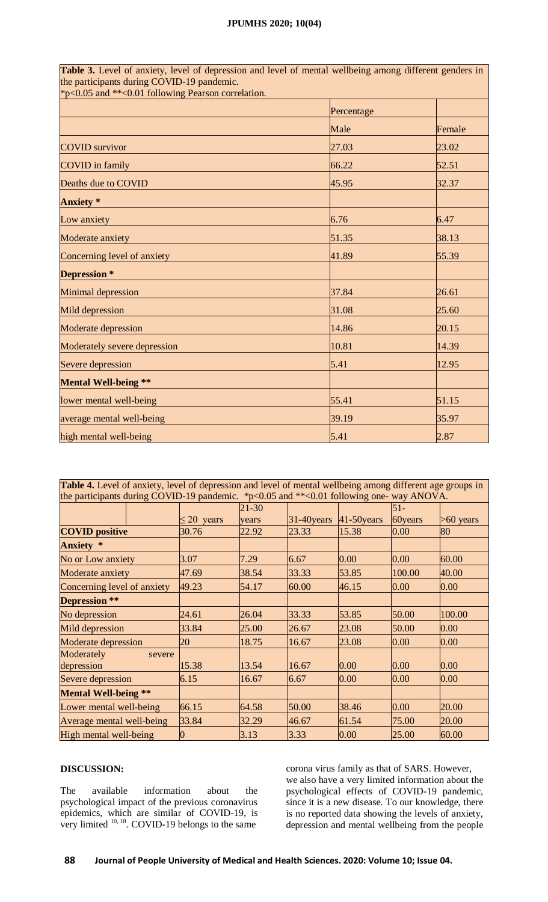#### **JPUMHS 2020; 10(04)**

**Table 3.** Level of anxiety, level of depression and level of mental wellbeing among different genders in the participants during COVID-19 pandemic. \*p<0.05 and \*\*<0.01 following Pearson correlation.

|                              | Percentage |        |
|------------------------------|------------|--------|
|                              | Male       | Female |
| <b>COVID</b> survivor        | 27.03      | 23.02  |
| <b>COVID</b> in family       | 66.22      | 52.51  |
| Deaths due to COVID          | 45.95      | 32.37  |
| <b>Anxiety</b> *             |            |        |
| Low anxiety                  | 6.76       | 6.47   |
| Moderate anxiety             | 51.35      | 38.13  |
| Concerning level of anxiety  | 41.89      | 55.39  |
| Depression *                 |            |        |
| Minimal depression           | 37.84      | 26.61  |
| Mild depression              | 31.08      | 25.60  |
| Moderate depression          | 14.86      | 20.15  |
| Moderately severe depression | 10.81      | 14.39  |
| Severe depression            | 5.41       | 12.95  |
| <b>Mental Well-being **</b>  |            |        |
| lower mental well-being      | 55.41      | 51.15  |
| average mental well-being    | 39.19      | 35.97  |
| high mental well-being       | 5.41       | 2.87   |

**Table 4.** Level of anxiety, level of depression and level of mental wellbeing among different age groups in the participants during COVID-19 pandemic. \*p<0.05 and \*\*<0.01 following one- way ANOVA.  $\leq$  20 years 21-30 years 31-40years 41-50years 51- 60years >60 years **COVID positive** 30.76 22.92 23.33 15.38 0.00 80 **Anxiety \*** No or Low anxiety  $\begin{array}{ccc} |3.07 \end{array}$   $\begin{array}{ccc} |7.29 \end{array}$   $\begin{array}{ccc} |6.67 \end{array}$   $\begin{array}{ccc} |0.00 \end{array}$   $\begin{array}{ccc} |60.00 \end{array}$ Moderate anxiety 47.69 38.54 33.33 53.85 100.00 40.00 Concerning level of anxiety  $\begin{vmatrix} 49.23 \\ 49.23 \end{vmatrix}$  54.17  $\begin{vmatrix} 60.00 \\ 60.00 \end{vmatrix}$  46.15  $\begin{vmatrix} 0.00 \\ 0.00 \end{vmatrix}$  0.00 **Depression \*\*** No depression 24.61 26.04 33.33 53.85 50.00 100.00 Mild depression 33.84 25.00 26.67 23.08 50.00 0.00 Moderate depression  $\begin{array}{|l} \hline 20 \end{array}$  18.75 16.67 23.08 0.00 0.00 Moderately severe depression 15.38 13.54 16.67 0.00 0.00 0.00 Severe depression 6.15 16.67 6.67 0.00 0.00 0.00 **Mental Well-being \*\*** Lower mental well-being 66.15 64.58 50.00 38.46 0.00 20.00 Average mental well-being 33.84 32.29 46.67 61.54 75.00 20.00 High mental well-being  $\begin{array}{ccc} \vert 0 \vert\vert & \vert 3.13 \vert & \vert 3.33 \vert & \vert 0.00 \vert & \vert 25.00 \vert & \vert 60.00 \vert \end{array}$ 

### **DISCUSSION:**

The available information about the psychological impact of the previous coronavirus epidemics, which are similar of COVID-19, is very limited  $10, 18$ . COVID-19 belongs to the same

corona virus family as that of SARS. However, we also have a very limited information about the psychological effects of COVID-19 pandemic, since it is a new disease. To our knowledge, there is no reported data showing the levels of anxiety, depression and mental wellbeing from the people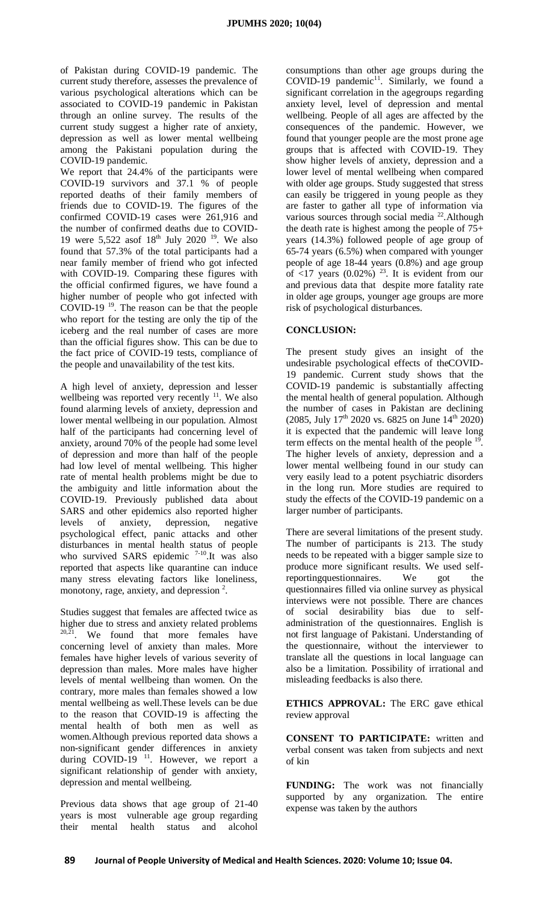of Pakistan during COVID-19 pandemic. The current study therefore, assesses the prevalence of various psychological alterations which can be associated to COVID-19 pandemic in Pakistan through an online survey. The results of the current study suggest a higher rate of anxiety, depression as well as lower mental wellbeing among the Pakistani population during the COVID-19 pandemic.

We report that 24.4% of the participants were COVID-19 survivors and 37.1 % of people reported deaths of their family members of friends due to COVID-19. The figures of the confirmed COVID-19 cases were 261,916 and the number of confirmed deaths due to COVID-19 were 5,522 asof  $18^{th}$  July 2020<sup>19</sup>. We also found that 57.3% of the total participants had a near family member of friend who got infected with COVID-19. Comparing these figures with the official confirmed figures, we have found a higher number of people who got infected with COVID-19 <sup>19</sup>. The reason can be that the people who report for the testing are only the tip of the iceberg and the real number of cases are more than the official figures show. This can be due to the fact price of COVID-19 tests, compliance of the people and unavailability of the test kits.

A high level of anxiety, depression and lesser wellbeing was reported very recently <sup>11</sup>. We also found alarming levels of anxiety, depression and lower mental wellbeing in our population. Almost half of the participants had concerning level of anxiety, around 70% of the people had some level of depression and more than half of the people had low level of mental wellbeing. This higher rate of mental health problems might be due to the ambiguity and little information about the COVID-19. Previously published data about SARS and other epidemics also reported higher levels of anxiety, depression, negative psychological effect, panic attacks and other disturbances in mental health status of people who survived SARS epidemic  $7-10$ . It was also reported that aspects like quarantine can induce many stress elevating factors like loneliness, monotony, rage, anxiety, and depression  $2$ .

Studies suggest that females are affected twice as higher due to stress and anxiety related problems  $20,21$ . We found that more females have concerning level of anxiety than males. More females have higher levels of various severity of depression than males. More males have higher levels of mental wellbeing than women. On the contrary, more males than females showed a low mental wellbeing as well.These levels can be due to the reason that COVID-19 is affecting the mental health of both men as well as women.Although previous reported data shows a non-significant gender differences in anxiety during COVID-19<sup>11</sup>. However, we report a significant relationship of gender with anxiety, depression and mental wellbeing.

Previous data shows that age group of 21-40 years is most vulnerable age group regarding their mental health status and alcohol consumptions than other age groups during the COVID-19 pandemic<sup>11</sup>. Similarly, we found a significant correlation in the agegroups regarding anxiety level, level of depression and mental wellbeing. People of all ages are affected by the consequences of the pandemic. However, we found that younger people are the most prone age groups that is affected with COVID-19. They show higher levels of anxiety, depression and a lower level of mental wellbeing when compared with older age groups. Study suggested that stress can easily be triggered in young people as they are faster to gather all type of information via various sources through social media <sup>22</sup>. Although the death rate is highest among the people of 75+ years (14.3%) followed people of age group of 65-74 years (6.5%) when compared with younger people of age 18-44 years (0.8%) and age group of  $\leq$ 17 years (0.02%)<sup>23</sup>. It is evident from our and previous data that despite more fatality rate in older age groups, younger age groups are more risk of psychological disturbances.

### **CONCLUSION:**

The present study gives an insight of the undesirable psychological effects of theCOVID-19 pandemic. Current study shows that the COVID-19 pandemic is substantially affecting the mental health of general population. Although the number of cases in Pakistan are declining (2085, July 17<sup>th</sup> 2020 vs. 6825 on June 14<sup>th</sup> 2020) it is expected that the pandemic will leave long term effects on the mental health of the people  $19$ . The higher levels of anxiety, depression and a lower mental wellbeing found in our study can very easily lead to a potent psychiatric disorders in the long run. More studies are required to study the effects of the COVID-19 pandemic on a larger number of participants.

There are several limitations of the present study. The number of participants is 213. The study needs to be repeated with a bigger sample size to produce more significant results. We used self-<br>reporting questionnaires. We got the reportingquestionnaires. We got the questionnaires filled via online survey as physical interviews were not possible. There are chances of social desirability bias due to selfadministration of the questionnaires. English is not first language of Pakistani. Understanding of the questionnaire, without the interviewer to translate all the questions in local language can also be a limitation. Possibility of irrational and misleading feedbacks is also there.

**ETHICS APPROVAL:** The ERC gave ethical review approval

**CONSENT TO PARTICIPATE:** written and verbal consent was taken from subjects and next of kin

**FUNDING:** The work was not financially supported by any organization. The entire expense was taken by the authors